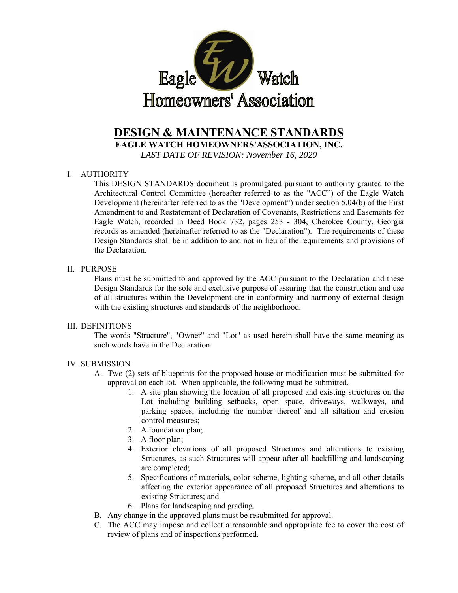

# **DESIGN & MAINTENANCE STANDARDS**

**EAGLE WATCH HOMEOWNERS'ASSOCIATION, INC.** 

*LAST DATE OF REVISION: November 16, 2020* 

## I. AUTHORITY

This DESIGN STANDARDS document is promulgated pursuant to authority granted to the Architectural Control Committee (hereafter referred to as the "ACC") of the Eagle Watch Development (hereinafter referred to as the "Development") under section 5.04(b) of the First Amendment to and Restatement of Declaration of Covenants, Restrictions and Easements for Eagle Watch, recorded in Deed Book 732, pages 253 - 304, Cherokee County, Georgia records as amended (hereinafter referred to as the "Declaration"). The requirements of these Design Standards shall be in addition to and not in lieu of the requirements and provisions of the Declaration.

#### II. PURPOSE

Plans must be submitted to and approved by the ACC pursuant to the Declaration and these Design Standards for the sole and exclusive purpose of assuring that the construction and use of all structures within the Development are in conformity and harmony of external design with the existing structures and standards of the neighborhood.

#### III. DEFINITIONS

The words "Structure", "Owner" and "Lot" as used herein shall have the same meaning as such words have in the Declaration.

#### IV. SUBMISSION

- A. Two (2) sets of blueprints for the proposed house or modification must be submitted for approval on each lot. When applicable, the following must be submitted.
	- 1. A site plan showing the location of all proposed and existing structures on the Lot including building setbacks, open space, driveways, walkways, and parking spaces, including the number thereof and all siltation and erosion control measures;
	- 2. A foundation plan;
	- 3. A floor plan;
	- 4. Exterior elevations of all proposed Structures and alterations to existing Structures, as such Structures will appear after all backfilling and landscaping are completed;
	- 5. Specifications of materials, color scheme, lighting scheme, and all other details affecting the exterior appearance of all proposed Structures and alterations to existing Structures; and
	- 6. Plans for landscaping and grading.
- B. Any change in the approved plans must be resubmitted for approval.
- C. The ACC may impose and collect a reasonable and appropriate fee to cover the cost of review of plans and of inspections performed.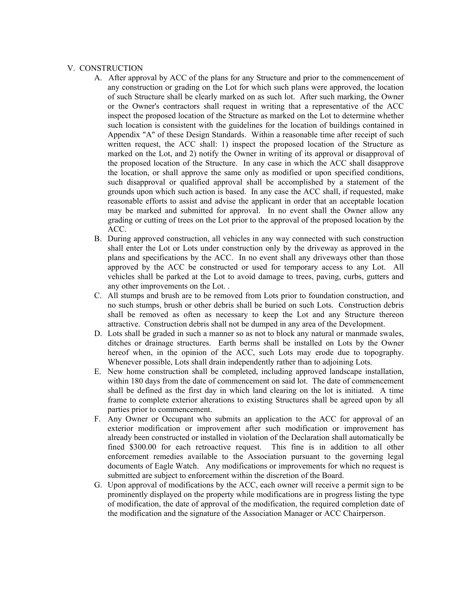#### V. CONSTRUCTION

- A. After approval by ACC of the plans for any Structure and prior to the commencement of any construction or grading on the Lot for which such plans were approved, the location of such Structure shall be clearly marked on as such lot. After such marking, the Owner or the Owner's contractors shall request in writing that a representative of the ACC inspect the proposed location of the Structure as marked on the Lot to determine whether such location is consistent with the guidelines for the location of buildings contained in Appendix "A" of these Design Standards. Within a reasonable time after receipt of such written request, the ACC shall: 1) inspect the proposed location of the Structure as marked on the Lot, and 2) notify the Owner in writing of its approval or disapproval of the proposed location of the Structure. In any case in which the ACC shall disapprove the location, or shall approve the same only as modified or upon specified conditions, such disapproval or qualified approval shall be accomplished by a statement of the grounds upon which such action is based. In any case the ACC shall, if requested, make reasonable efforts to assist and advise the applicant in order that an acceptable location may be marked and submitted for approval. In no event shall the Owner allow any grading or cutting of trees on the Lot prior to the approval of the proposed location by the ACC.
- B. During approved construction, all vehicles in any way connected with such construction shall enter the Lot or Lots under construction only by the driveway as approved in the plans and specifications by the ACC. In no event shall any driveways other than those approved by the ACC be constructed or used for temporary access to any Lot. All vehicles shall be parked at the Lot to avoid damage to trees, paving, curbs, gutters and any other improvements on the Lot. .
- C. All stumps and brush are to be removed from Lots prior to foundation construction, and no such stumps, brush or other debris shall be buried on such Lots. Construction debris shall be removed as often as necessary to keep the Lot and any Structure thereon attractive. Construction debris shall not be dumped in any area of the Development.
- D. Lots shall be graded in such a manner so as not to block any natural or manmade swales, ditches or drainage structures. Earth berms shall be installed on Lots by the Owner hereof when, in the opinion of the ACC, such Lots may erode due to topography. Whenever possible, Lots shall drain independently rather than to adjoining Lots.
- E. New home construction shall be completed, including approved landscape installation, within 180 days from the date of commencement on said lot. The date of commencement shall be defined as the first day in which land clearing on the lot is initiated. A time frame to complete exterior alterations to existing Structures shall be agreed upon by all parties prior to commencement.
- F. Any Owner or Occupant who submits an application to the ACC for approval of an exterior modification or improvement after such modification or improvement has already been constructed or installed in violation of the Declaration shall automatically be fined \$300.00 for each retroactive request. This fine is in addition to all other enforcement remedies available to the Association pursuant to the governing legal documents of Eagle Watch. Any modifications or improvements for which no request is submitted are subject to enforcement within the discretion of the Board.
- G. Upon approval of modifications by the ACC, each owner will receive a permit sign to be prominently displayed on the property while modifications are in progress listing the type of modification, the date of approval of the modification, the required completion date of the modification and the signature of the Association Manager or ACC Chairperson.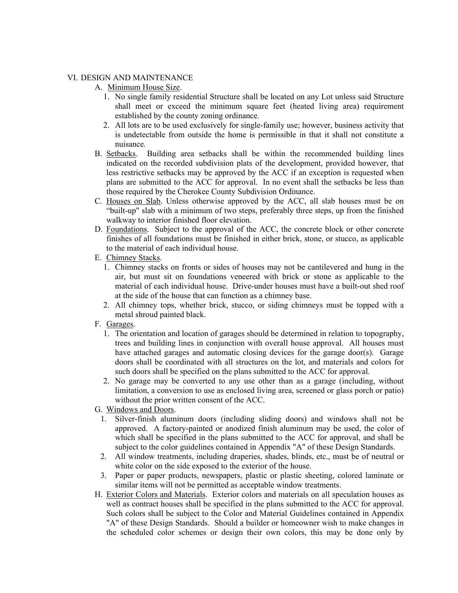#### VI. DESIGN AND MAINTENANCE

- A. Minimum House Size.
	- 1. No single family residential Structure shall be located on any Lot unless said Structure shall meet or exceed the minimum square feet (heated living area) requirement established by the county zoning ordinance.
	- 2. All lots are to be used exclusively for single-family use; however, business activity that is undetectable from outside the home is permissible in that it shall not constitute a nuisance.
- B. Setbacks. Building area setbacks shall be within the recommended building lines indicated on the recorded subdivision plats of the development, provided however, that less restrictive setbacks may be approved by the ACC if an exception is requested when plans are submitted to the ACC for approval. In no event shall the setbacks be less than those required by the Cherokee County Subdivision Ordinance.
- C. Houses on Slab. Unless otherwise approved by the ACC, all slab houses must be on "built-up" slab with a minimum of two steps, preferably three steps, up from the finished walkway to interior finished floor elevation.
- D. Foundations. Subject to the approval of the ACC, the concrete block or other concrete finishes of all foundations must be finished in either brick, stone, or stucco, as applicable to the material of each individual house.
- E. Chimney Stacks.
	- 1. Chimney stacks on fronts or sides of houses may not be cantilevered and hung in the air, but must sit on foundations veneered with brick or stone as applicable to the material of each individual house. Drive-under houses must have a built-out shed roof at the side of the house that can function as a chimney base.
	- 2. All chimney tops, whether brick, stucco, or siding chimneys must be topped with a metal shroud painted black.
- F. Garages.
	- 1. The orientation and location of garages should be determined in relation to topography, trees and building lines in conjunction with overall house approval. All houses must have attached garages and automatic closing devices for the garage door(s). Garage doors shall be coordinated with all structures on the lot, and materials and colors for such doors shall be specified on the plans submitted to the ACC for approval.
	- 2. No garage may be converted to any use other than as a garage (including, without limitation, a conversion to use as enclosed living area, screened or glass porch or patio) without the prior written consent of the ACC.
- G. Windows and Doors.
	- 1. Silver-finish aluminum doors (including sliding doors) and windows shall not be approved. A factory-painted or anodized finish aluminum may be used, the color of which shall be specified in the plans submitted to the ACC for approval, and shall be subject to the color guidelines contained in Appendix "A" of these Design Standards.
	- 2. All window treatments, including draperies, shades, blinds, etc., must be of neutral or white color on the side exposed to the exterior of the house.
	- 3. Paper or paper products, newspapers, plastic or plastic sheeting, colored laminate or similar items will not be permitted as acceptable window treatments.
- H. Exterior Colors and Materials. Exterior colors and materials on all speculation houses as well as contract houses shall be specified in the plans submitted to the ACC for approval. Such colors shall be subject to the Color and Material Guidelines contained in Appendix "A" of these Design Standards. Should a builder or homeowner wish to make changes in the scheduled color schemes or design their own colors, this may be done only by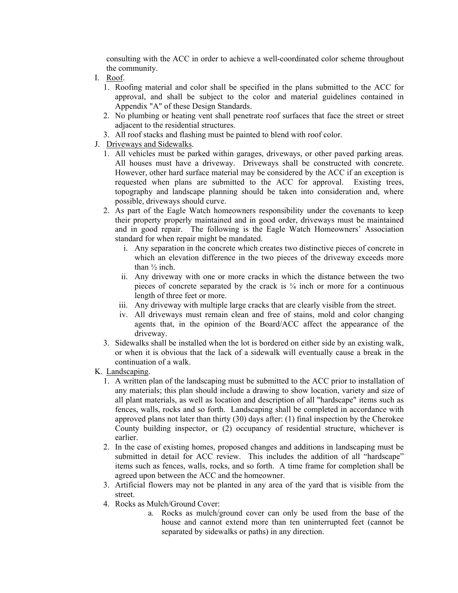consulting with the ACC in order to achieve a well-coordinated color scheme throughout the community.

- I. Roof.
	- 1. Roofing material and color shall be specified in the plans submitted to the ACC for approval, and shall be subject to the color and material guidelines contained in Appendix "A" of these Design Standards.
	- 2. No plumbing or heating vent shall penetrate roof surfaces that face the street or street adjacent to the residential structures.
	- 3. All roof stacks and flashing must be painted to blend with roof color.
- J. Driveways and Sidewalks.
	- 1. All vehicles must be parked within garages, driveways, or other paved parking areas. All houses must have a driveway. Driveways shall be constructed with concrete. However, other hard surface material may be considered by the ACC if an exception is requested when plans are submitted to the ACC for approval. Existing trees, topography and landscape planning should be taken into consideration and, where possible, driveways should curve.
	- 2. As part of the Eagle Watch homeowners responsibility under the covenants to keep their property properly maintained and in good order, driveways must be maintained and in good repair. The following is the Eagle Watch Homeowners' Association standard for when repair might be mandated.
		- i. Any separation in the concrete which creates two distinctive pieces of concrete in which an elevation difference in the two pieces of the driveway exceeds more than ½ inch.
		- ii. Any driveway with one or more cracks in which the distance between the two pieces of concrete separated by the crack is ¼ inch or more for a continuous length of three feet or more.
		- iii. Any driveway with multiple large cracks that are clearly visible from the street.
		- iv. All driveways must remain clean and free of stains, mold and color changing agents that, in the opinion of the Board/ACC affect the appearance of the driveway.
	- 3. Sidewalks shall be installed when the lot is bordered on either side by an existing walk, or when it is obvious that the lack of a sidewalk will eventually cause a break in the continuation of a walk.
- K. Landscaping.
	- 1. A written plan of the landscaping must be submitted to the ACC prior to installation of any materials; this plan should include a drawing to show location, variety and size of all plant materials, as well as location and description of all "hardscape" items such as fences, walls, rocks and so forth. Landscaping shall be completed in accordance with approved plans not later than thirty (30) days after: (1) final inspection by the Cherokee County building inspector, or (2) occupancy of residential structure, whichever is earlier.
	- 2. In the case of existing homes, proposed changes and additions in landscaping must be submitted in detail for ACC review. This includes the addition of all "hardscape" items such as fences, walls, rocks, and so forth. A time frame for completion shall be agreed upon between the ACC and the homeowner.
	- 3. Artificial flowers may not be planted in any area of the yard that is visible from the street.
	- 4. Rocks as Mulch/Ground Cover:
		- a. Rocks as mulch/ground cover can only be used from the base of the house and cannot extend more than ten uninterrupted feet (cannot be separated by sidewalks or paths) in any direction.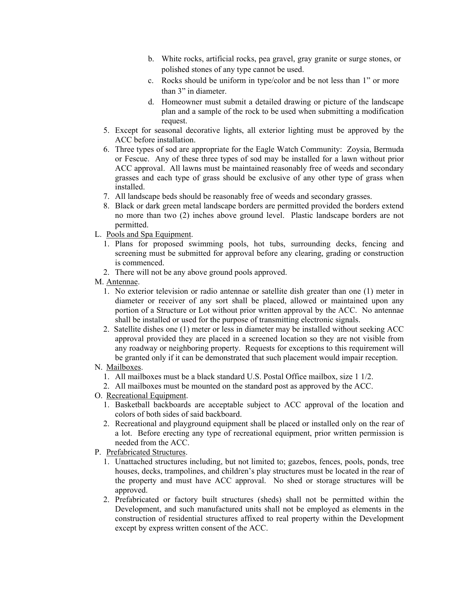- b. White rocks, artificial rocks, pea gravel, gray granite or surge stones, or polished stones of any type cannot be used.
- c. Rocks should be uniform in type/color and be not less than 1" or more than 3" in diameter.
- d. Homeowner must submit a detailed drawing or picture of the landscape plan and a sample of the rock to be used when submitting a modification request.
- 5. Except for seasonal decorative lights, all exterior lighting must be approved by the ACC before installation.
- 6. Three types of sod are appropriate for the Eagle Watch Community: Zoysia, Bermuda or Fescue. Any of these three types of sod may be installed for a lawn without prior ACC approval. All lawns must be maintained reasonably free of weeds and secondary grasses and each type of grass should be exclusive of any other type of grass when installed.
- 7. All landscape beds should be reasonably free of weeds and secondary grasses.
- 8. Black or dark green metal landscape borders are permitted provided the borders extend no more than two (2) inches above ground level. Plastic landscape borders are not permitted.
- L. Pools and Spa Equipment.
	- 1. Plans for proposed swimming pools, hot tubs, surrounding decks, fencing and screening must be submitted for approval before any clearing, grading or construction is commenced.
	- 2. There will not be any above ground pools approved.

#### M. Antennae.

- 1. No exterior television or radio antennae or satellite dish greater than one (1) meter in diameter or receiver of any sort shall be placed, allowed or maintained upon any portion of a Structure or Lot without prior written approval by the ACC. No antennae shall be installed or used for the purpose of transmitting electronic signals.
- 2. Satellite dishes one (1) meter or less in diameter may be installed without seeking ACC approval provided they are placed in a screened location so they are not visible from any roadway or neighboring property. Requests for exceptions to this requirement will be granted only if it can be demonstrated that such placement would impair reception.

#### N. Mailboxes.

- 1. All mailboxes must be a black standard U.S. Postal Office mailbox, size 1 1/2.
- 2. All mailboxes must be mounted on the standard post as approved by the ACC.
- O. Recreational Equipment.
	- 1. Basketball backboards are acceptable subject to ACC approval of the location and colors of both sides of said backboard.
	- 2. Recreational and playground equipment shall be placed or installed only on the rear of a lot. Before erecting any type of recreational equipment, prior written permission is needed from the ACC.
- P. Prefabricated Structures.
	- 1. Unattached structures including, but not limited to; gazebos, fences, pools, ponds, tree houses, decks, trampolines, and children's play structures must be located in the rear of the property and must have ACC approval. No shed or storage structures will be approved.
	- 2. Prefabricated or factory built structures (sheds) shall not be permitted within the Development, and such manufactured units shall not be employed as elements in the construction of residential structures affixed to real property within the Development except by express written consent of the ACC.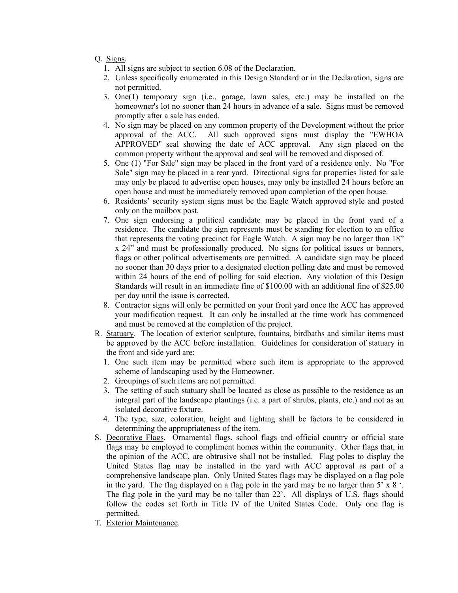## Q. Signs.

- 1. All signs are subject to section 6.08 of the Declaration.
- 2. Unless specifically enumerated in this Design Standard or in the Declaration, signs are not permitted.
- 3. One(1) temporary sign (i.e., garage, lawn sales, etc.) may be installed on the homeowner's lot no sooner than 24 hours in advance of a sale. Signs must be removed promptly after a sale has ended.
- 4. No sign may be placed on any common property of the Development without the prior approval of the ACC. All such approved signs must display the "EWHOA APPROVED" seal showing the date of ACC approval. Any sign placed on the common property without the approval and seal will be removed and disposed of.
- 5. One (1) "For Sale" sign may be placed in the front yard of a residence only. No "For Sale" sign may be placed in a rear yard. Directional signs for properties listed for sale may only be placed to advertise open houses, may only be installed 24 hours before an open house and must be immediately removed upon completion of the open house.
- 6. Residents' security system signs must be the Eagle Watch approved style and posted only on the mailbox post.
- 7. One sign endorsing a political candidate may be placed in the front yard of a residence. The candidate the sign represents must be standing for election to an office that represents the voting precinct for Eagle Watch. A sign may be no larger than 18" x 24" and must be professionally produced. No signs for political issues or banners, flags or other political advertisements are permitted. A candidate sign may be placed no sooner than 30 days prior to a designated election polling date and must be removed within 24 hours of the end of polling for said election. Any violation of this Design Standards will result in an immediate fine of \$100.00 with an additional fine of \$25.00 per day until the issue is corrected.
- 8. Contractor signs will only be permitted on your front yard once the ACC has approved your modification request. It can only be installed at the time work has commenced and must be removed at the completion of the project.
- R. Statuary. The location of exterior sculpture, fountains, birdbaths and similar items must be approved by the ACC before installation. Guidelines for consideration of statuary in the front and side yard are:
	- 1. One such item may be permitted where such item is appropriate to the approved scheme of landscaping used by the Homeowner.
	- 2. Groupings of such items are not permitted.
	- 3. The setting of such statuary shall be located as close as possible to the residence as an integral part of the landscape plantings (i.e. a part of shrubs, plants, etc.) and not as an isolated decorative fixture.
	- 4. The type, size, coloration, height and lighting shall be factors to be considered in determining the appropriateness of the item.
- S. Decorative Flags. Ornamental flags, school flags and official country or official state flags may be employed to compliment homes within the community. Other flags that, in the opinion of the ACC, are obtrusive shall not be installed. Flag poles to display the United States flag may be installed in the yard with ACC approval as part of a comprehensive landscape plan. Only United States flags may be displayed on a flag pole in the yard. The flag displayed on a flag pole in the yard may be no larger than 5' x 8 '. The flag pole in the yard may be no taller than 22'. All displays of U.S. flags should follow the codes set forth in Title IV of the United States Code. Only one flag is permitted.
- T. Exterior Maintenance.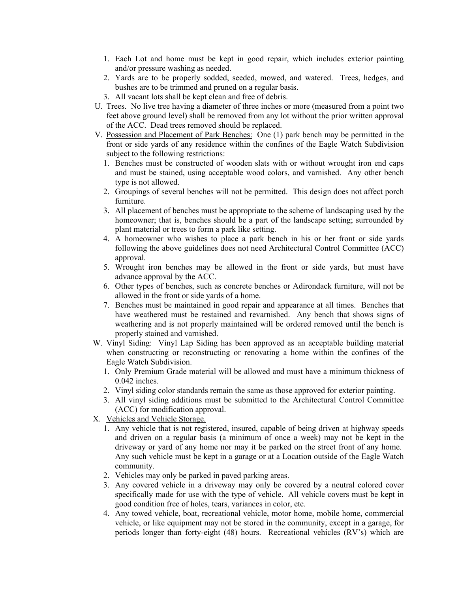- 1. Each Lot and home must be kept in good repair, which includes exterior painting and/or pressure washing as needed.
- 2. Yards are to be properly sodded, seeded, mowed, and watered. Trees, hedges, and bushes are to be trimmed and pruned on a regular basis.
- 3. All vacant lots shall be kept clean and free of debris.
- U. Trees. No live tree having a diameter of three inches or more (measured from a point two feet above ground level) shall be removed from any lot without the prior written approval of the ACC. Dead trees removed should be replaced.
- V. Possession and Placement of Park Benches: One (1) park bench may be permitted in the front or side yards of any residence within the confines of the Eagle Watch Subdivision subject to the following restrictions:
	- 1. Benches must be constructed of wooden slats with or without wrought iron end caps and must be stained, using acceptable wood colors, and varnished. Any other bench type is not allowed.
	- 2. Groupings of several benches will not be permitted. This design does not affect porch furniture.
	- 3. All placement of benches must be appropriate to the scheme of landscaping used by the homeowner; that is, benches should be a part of the landscape setting; surrounded by plant material or trees to form a park like setting.
	- 4. A homeowner who wishes to place a park bench in his or her front or side yards following the above guidelines does not need Architectural Control Committee (ACC) approval.
	- 5. Wrought iron benches may be allowed in the front or side yards, but must have advance approval by the ACC.
	- 6. Other types of benches, such as concrete benches or Adirondack furniture, will not be allowed in the front or side yards of a home.
	- 7. Benches must be maintained in good repair and appearance at all times. Benches that have weathered must be restained and revarnished. Any bench that shows signs of weathering and is not properly maintained will be ordered removed until the bench is properly stained and varnished.
- W. Vinyl Siding: Vinyl Lap Siding has been approved as an acceptable building material when constructing or reconstructing or renovating a home within the confines of the Eagle Watch Subdivision.
	- 1. Only Premium Grade material will be allowed and must have a minimum thickness of 0.042 inches.
	- 2. Vinyl siding color standards remain the same as those approved for exterior painting.
	- 3. All vinyl siding additions must be submitted to the Architectural Control Committee (ACC) for modification approval.
- X. Vehicles and Vehicle Storage.
	- 1. Any vehicle that is not registered, insured, capable of being driven at highway speeds and driven on a regular basis (a minimum of once a week) may not be kept in the driveway or yard of any home nor may it be parked on the street front of any home. Any such vehicle must be kept in a garage or at a Location outside of the Eagle Watch community.
	- 2. Vehicles may only be parked in paved parking areas.
	- 3. Any covered vehicle in a driveway may only be covered by a neutral colored cover specifically made for use with the type of vehicle. All vehicle covers must be kept in good condition free of holes, tears, variances in color, etc.
	- 4. Any towed vehicle, boat, recreational vehicle, motor home, mobile home, commercial vehicle, or like equipment may not be stored in the community, except in a garage, for periods longer than forty-eight (48) hours. Recreational vehicles (RV's) which are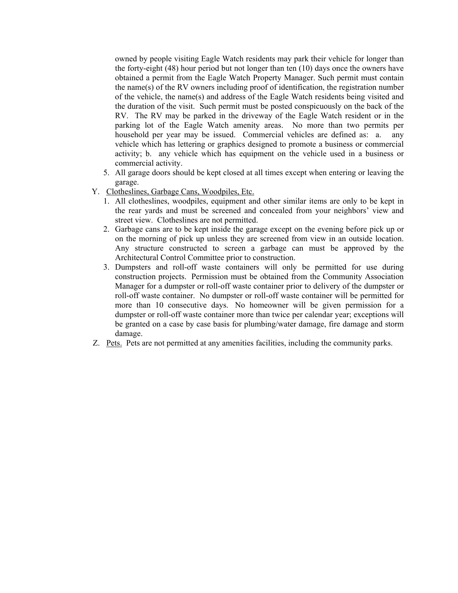owned by people visiting Eagle Watch residents may park their vehicle for longer than the forty-eight (48) hour period but not longer than ten (10) days once the owners have obtained a permit from the Eagle Watch Property Manager. Such permit must contain the name(s) of the RV owners including proof of identification, the registration number of the vehicle, the name(s) and address of the Eagle Watch residents being visited and the duration of the visit. Such permit must be posted conspicuously on the back of the RV. The RV may be parked in the driveway of the Eagle Watch resident or in the parking lot of the Eagle Watch amenity areas. No more than two permits per household per year may be issued. Commercial vehicles are defined as: a. any vehicle which has lettering or graphics designed to promote a business or commercial activity; b. any vehicle which has equipment on the vehicle used in a business or commercial activity.

- 5. All garage doors should be kept closed at all times except when entering or leaving the garage.
- Y. Clotheslines, Garbage Cans, Woodpiles, Etc.
	- 1. All clotheslines, woodpiles, equipment and other similar items are only to be kept in the rear yards and must be screened and concealed from your neighbors' view and street view. Clotheslines are not permitted.
	- 2. Garbage cans are to be kept inside the garage except on the evening before pick up or on the morning of pick up unless they are screened from view in an outside location. Any structure constructed to screen a garbage can must be approved by the Architectural Control Committee prior to construction.
	- 3. Dumpsters and roll-off waste containers will only be permitted for use during construction projects. Permission must be obtained from the Community Association Manager for a dumpster or roll-off waste container prior to delivery of the dumpster or roll-off waste container. No dumpster or roll-off waste container will be permitted for more than 10 consecutive days. No homeowner will be given permission for a dumpster or roll-off waste container more than twice per calendar year; exceptions will be granted on a case by case basis for plumbing/water damage, fire damage and storm damage.
- Z. Pets. Pets are not permitted at any amenities facilities, including the community parks.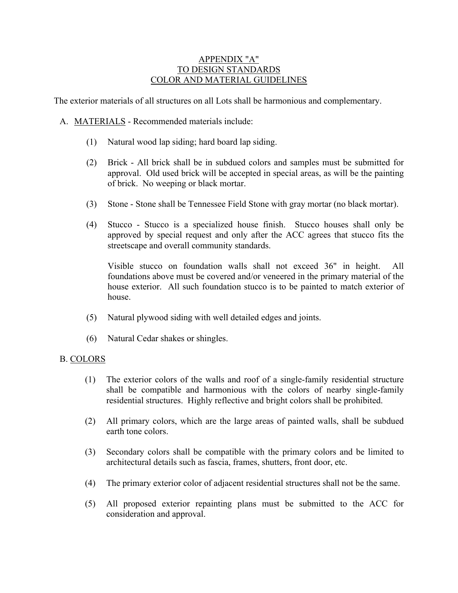# APPENDIX "A" TO DESIGN STANDARDS COLOR AND MATERIAL GUIDELINES

The exterior materials of all structures on all Lots shall be harmonious and complementary.

- A. MATERIALS Recommended materials include:
	- (1) Natural wood lap siding; hard board lap siding.
	- (2) Brick All brick shall be in subdued colors and samples must be submitted for approval. Old used brick will be accepted in special areas, as will be the painting of brick. No weeping or black mortar.
	- (3) Stone Stone shall be Tennessee Field Stone with gray mortar (no black mortar).
	- (4) Stucco Stucco is a specialized house finish. Stucco houses shall only be approved by special request and only after the ACC agrees that stucco fits the streetscape and overall community standards.

Visible stucco on foundation walls shall not exceed 36" in height. All foundations above must be covered and/or veneered in the primary material of the house exterior. All such foundation stucco is to be painted to match exterior of house.

- (5) Natural plywood siding with well detailed edges and joints.
- (6) Natural Cedar shakes or shingles.

## B. COLORS

- (1) The exterior colors of the walls and roof of a single-family residential structure shall be compatible and harmonious with the colors of nearby single-family residential structures. Highly reflective and bright colors shall be prohibited.
- (2) All primary colors, which are the large areas of painted walls, shall be subdued earth tone colors.
- (3) Secondary colors shall be compatible with the primary colors and be limited to architectural details such as fascia, frames, shutters, front door, etc.
- (4) The primary exterior color of adjacent residential structures shall not be the same.
- (5) All proposed exterior repainting plans must be submitted to the ACC for consideration and approval.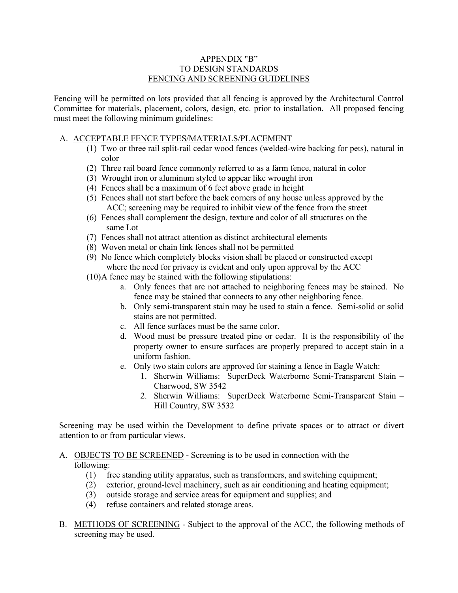## APPENDIX "B" TO DESIGN STANDARDS FENCING AND SCREENING GUIDELINES

Fencing will be permitted on lots provided that all fencing is approved by the Architectural Control Committee for materials, placement, colors, design, etc. prior to installation. All proposed fencing must meet the following minimum guidelines:

# A. ACCEPTABLE FENCE TYPES/MATERIALS/PLACEMENT

- (1) Two or three rail split-rail cedar wood fences (welded-wire backing for pets), natural in color
- (2) Three rail board fence commonly referred to as a farm fence, natural in color
- (3) Wrought iron or aluminum styled to appear like wrought iron
- (4) Fences shall be a maximum of 6 feet above grade in height
- (5) Fences shall not start before the back corners of any house unless approved by the ACC; screening may be required to inhibit view of the fence from the street
- (6) Fences shall complement the design, texture and color of all structures on the same Lot
- (7) Fences shall not attract attention as distinct architectural elements
- (8) Woven metal or chain link fences shall not be permitted
- (9) No fence which completely blocks vision shall be placed or constructed except where the need for privacy is evident and only upon approval by the ACC
- (10)A fence may be stained with the following stipulations:
	- a. Only fences that are not attached to neighboring fences may be stained. No fence may be stained that connects to any other neighboring fence.
	- b. Only semi-transparent stain may be used to stain a fence. Semi-solid or solid stains are not permitted.
	- c. All fence surfaces must be the same color.
	- d. Wood must be pressure treated pine or cedar. It is the responsibility of the property owner to ensure surfaces are properly prepared to accept stain in a uniform fashion.
	- e. Only two stain colors are approved for staining a fence in Eagle Watch:
		- 1. Sherwin Williams: SuperDeck Waterborne Semi-Transparent Stain Charwood, SW 3542
		- 2. Sherwin Williams: SuperDeck Waterborne Semi-Transparent Stain Hill Country, SW 3532

Screening may be used within the Development to define private spaces or to attract or divert attention to or from particular views.

## A. OBJECTS TO BE SCREENED - Screening is to be used in connection with the following:

- (1) free standing utility apparatus, such as transformers, and switching equipment;
- (2) exterior, ground-level machinery, such as air conditioning and heating equipment;
- (3) outside storage and service areas for equipment and supplies; and
- (4) refuse containers and related storage areas.
- B. METHODS OF SCREENING Subject to the approval of the ACC, the following methods of screening may be used.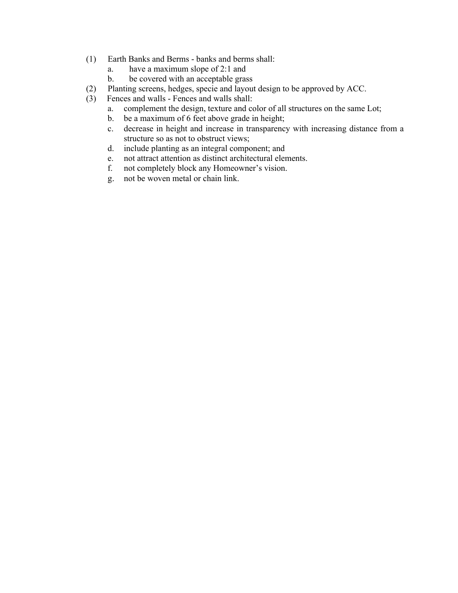- (1) Earth Banks and Berms banks and berms shall:
	- a. have a maximum slope of 2:1 and
	- b. be covered with an acceptable grass
- (2) Planting screens, hedges, specie and layout design to be approved by ACC.
- (3) Fences and walls Fences and walls shall:
	- a. complement the design, texture and color of all structures on the same Lot;
	- b. be a maximum of 6 feet above grade in height;
	- c. decrease in height and increase in transparency with increasing distance from a structure so as not to obstruct views;
	- d. include planting as an integral component; and
	- e. not attract attention as distinct architectural elements.
	- f. not completely block any Homeowner's vision.
	- g. not be woven metal or chain link.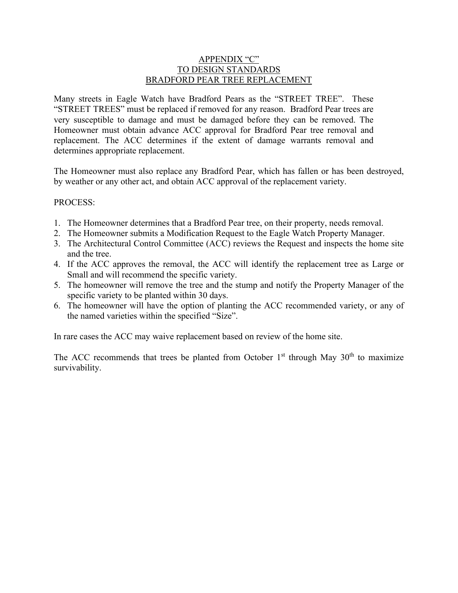# APPENDIX "C" TO DESIGN STANDARDS BRADFORD PEAR TREE REPLACEMENT

Many streets in Eagle Watch have Bradford Pears as the "STREET TREE". These "STREET TREES" must be replaced if removed for any reason. Bradford Pear trees are very susceptible to damage and must be damaged before they can be removed. The Homeowner must obtain advance ACC approval for Bradford Pear tree removal and replacement. The ACC determines if the extent of damage warrants removal and determines appropriate replacement.

The Homeowner must also replace any Bradford Pear, which has fallen or has been destroyed, by weather or any other act, and obtain ACC approval of the replacement variety.

## PROCESS:

- 1. The Homeowner determines that a Bradford Pear tree, on their property, needs removal.
- 2. The Homeowner submits a Modification Request to the Eagle Watch Property Manager.
- 3. The Architectural Control Committee (ACC) reviews the Request and inspects the home site and the tree.
- 4. If the ACC approves the removal, the ACC will identify the replacement tree as Large or Small and will recommend the specific variety.
- 5. The homeowner will remove the tree and the stump and notify the Property Manager of the specific variety to be planted within 30 days.
- 6. The homeowner will have the option of planting the ACC recommended variety, or any of the named varieties within the specified "Size".

In rare cases the ACC may waive replacement based on review of the home site.

The ACC recommends that trees be planted from October  $1<sup>st</sup>$  through May  $30<sup>th</sup>$  to maximize survivability.